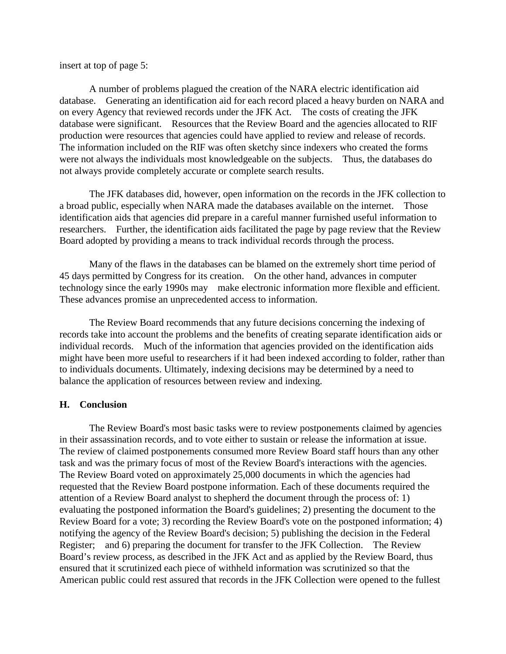insert at top of page 5:

A number of problems plagued the creation of the NARA electric identification aid database. Generating an identification aid for each record placed a heavy burden on NARA and on every Agency that reviewed records under the JFK Act. The costs of creating the JFK database were significant. Resources that the Review Board and the agencies allocated to RIF production were resources that agencies could have applied to review and release of records. The information included on the RIF was often sketchy since indexers who created the forms were not always the individuals most knowledgeable on the subjects. Thus, the databases do not always provide completely accurate or complete search results.

The JFK databases did, however, open information on the records in the JFK collection to a broad public, especially when NARA made the databases available on the internet. Those identification aids that agencies did prepare in a careful manner furnished useful information to researchers. Further, the identification aids facilitated the page by page review that the Review Board adopted by providing a means to track individual records through the process.

Many of the flaws in the databases can be blamed on the extremely short time period of 45 days permitted by Congress for its creation. On the other hand, advances in computer technology since the early 1990s may make electronic information more flexible and efficient. These advances promise an unprecedented access to information.

The Review Board recommends that any future decisions concerning the indexing of records take into account the problems and the benefits of creating separate identification aids or individual records. Much of the information that agencies provided on the identification aids might have been more useful to researchers if it had been indexed according to folder, rather than to individuals documents. Ultimately, indexing decisions may be determined by a need to balance the application of resources between review and indexing.

## **H. Conclusion**

The Review Board's most basic tasks were to review postponements claimed by agencies in their assassination records, and to vote either to sustain or release the information at issue. The review of claimed postponements consumed more Review Board staff hours than any other task and was the primary focus of most of the Review Board's interactions with the agencies. The Review Board voted on approximately 25,000 documents in which the agencies had requested that the Review Board postpone information. Each of these documents required the attention of a Review Board analyst to shepherd the document through the process of: 1) evaluating the postponed information the Board's guidelines; 2) presenting the document to the Review Board for a vote; 3) recording the Review Board's vote on the postponed information; 4) notifying the agency of the Review Board's decision; 5) publishing the decision in the Federal Register; and 6) preparing the document for transfer to the JFK Collection. The Review Board's review process, as described in the JFK Act and as applied by the Review Board, thus ensured that it scrutinized each piece of withheld information was scrutinized so that the American public could rest assured that records in the JFK Collection were opened to the fullest